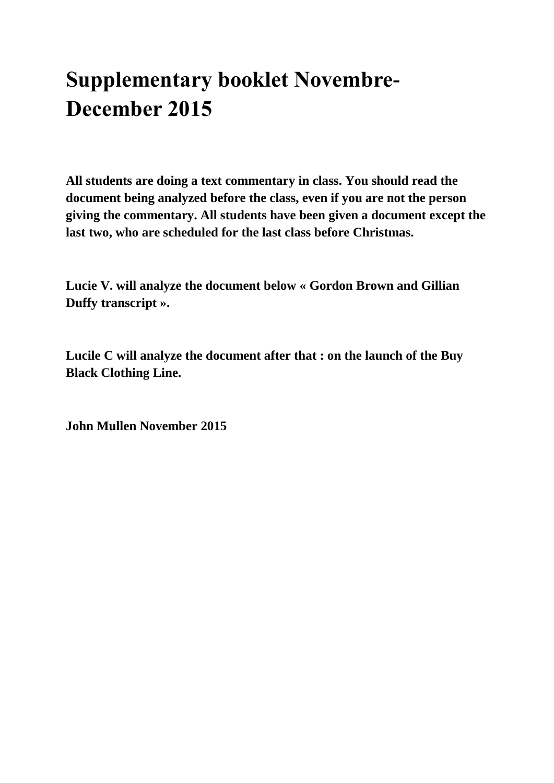# **Supplementary booklet Novembre-December 2015**

**All students are doing a text commentary in class. You should read the document being analyzed before the class, even if you are not the person giving the commentary. All students have been given a document except the last two, who are scheduled for the last class before Christmas.**

**Lucie V. will analyze the document below « Gordon Brown and Gillian Duffy transcript ».**

**Lucile C will analyze the document after that : on the launch of the Buy Black Clothing Line.**

**John Mullen November 2015**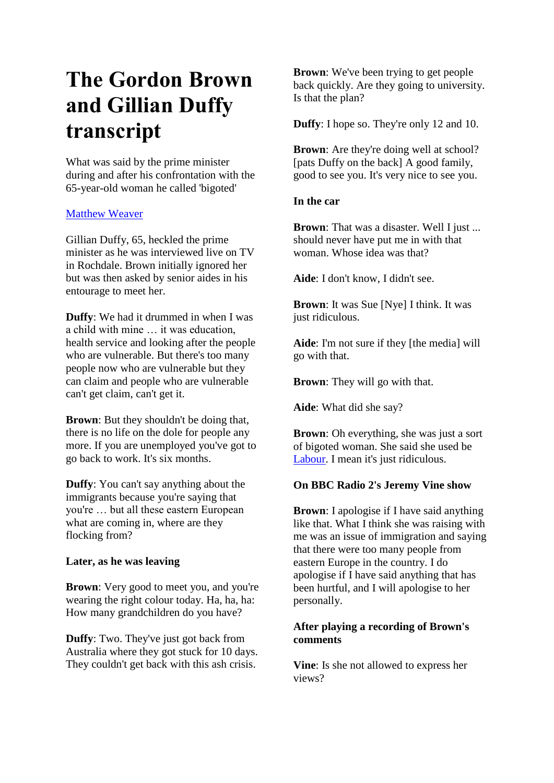# **The Gordon Brown and Gillian Duffy transcript**

What was said by the prime minister during and after his confrontation with the 65-year-old woman he called 'bigoted'

#### [Matthew Weaver](http://www.theguardian.com/profile/matthewweaver)

Gillian Duffy, 65, heckled the prime minister as he was interviewed live on TV in Rochdale. Brown initially ignored her but was then asked by senior aides in his entourage to meet her.

**Duffy**: We had it drummed in when I was a child with mine … it was education, health service and looking after the people who are vulnerable. But there's too many people now who are vulnerable but they can claim and people who are vulnerable can't get claim, can't get it.

**Brown**: But they shouldn't be doing that, there is no life on the dole for people any more. If you are unemployed you've got to go back to work. It's six months.

**Duffy**: You can't say anything about the immigrants because you're saying that you're … but all these eastern European what are coming in, where are they flocking from?

### **Later, as he was leaving**

**Brown**: Very good to meet you, and you're wearing the right colour today. Ha, ha, ha: How many grandchildren do you have?

**Duffy**: Two. They've just got back from Australia where they got stuck for 10 days. They couldn't get back with this ash crisis.

**Brown**: We've been trying to get people back quickly. Are they going to university. Is that the plan?

**Duffy**: I hope so. They're only 12 and 10.

**Brown**: Are they're doing well at school? [pats Duffy on the back] A good family, good to see you. It's very nice to see you.

#### **In the car**

**Brown**: That was a disaster. Well I just ... should never have put me in with that woman. Whose idea was that?

**Aide**: I don't know, I didn't see.

**Brown**: It was Sue [Nye] I think. It was just ridiculous.

**Aide**: I'm not sure if they [the media] will go with that.

**Brown**: They will go with that.

**Aide**: What did she say?

**Brown**: Oh everything, she was just a sort of bigoted woman. She said she used be [Labour.](http://www.theguardian.com/politics/labour) I mean it's just ridiculous.

### **On BBC Radio 2's Jeremy Vine show**

**Brown**: I apologise if I have said anything like that. What I think she was raising with me was an issue of immigration and saying that there were too many people from eastern Europe in the country. I do apologise if I have said anything that has been hurtful, and I will apologise to her personally.

#### **After playing a recording of Brown's comments**

**Vine**: Is she not allowed to express her views?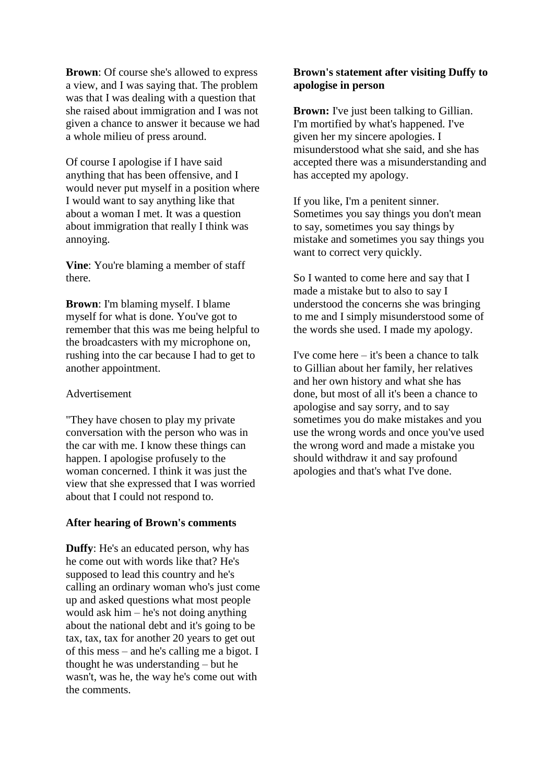**Brown**: Of course she's allowed to express a view, and I was saying that. The problem was that I was dealing with a question that she raised about immigration and I was not given a chance to answer it because we had a whole milieu of press around.

Of course I apologise if I have said anything that has been offensive, and I would never put myself in a position where I would want to say anything like that about a woman I met. It was a question about immigration that really I think was annoying.

**Vine**: You're blaming a member of staff there.

**Brown**: I'm blaming myself. I blame myself for what is done. You've got to remember that this was me being helpful to the broadcasters with my microphone on, rushing into the car because I had to get to another appointment.

#### Advertisement

"They have chosen to play my private conversation with the person who was in the car with me. I know these things can happen. I apologise profusely to the woman concerned. I think it was just the view that she expressed that I was worried about that I could not respond to.

#### **After hearing of Brown's comments**

**Duffy**: He's an educated person, why has he come out with words like that? He's supposed to lead this country and he's calling an ordinary woman who's just come up and asked questions what most people would ask him – he's not doing anything about the national debt and it's going to be tax, tax, tax for another 20 years to get out of this mess – and he's calling me a bigot. I thought he was understanding – but he wasn't, was he, the way he's come out with the comments.

#### **Brown's statement after visiting Duffy to apologise in person**

**Brown:** I've just been talking to Gillian. I'm mortified by what's happened. I've given her my sincere apologies. I misunderstood what she said, and she has accepted there was a misunderstanding and has accepted my apology.

If you like, I'm a penitent sinner. Sometimes you say things you don't mean to say, sometimes you say things by mistake and sometimes you say things you want to correct very quickly.

So I wanted to come here and say that I made a mistake but to also to say I understood the concerns she was bringing to me and I simply misunderstood some of the words she used. I made my apology.

I've come here – it's been a chance to talk to Gillian about her family, her relatives and her own history and what she has done, but most of all it's been a chance to apologise and say sorry, and to say sometimes you do make mistakes and you use the wrong words and once you've used the wrong word and made a mistake you should withdraw it and say profound apologies and that's what I've done.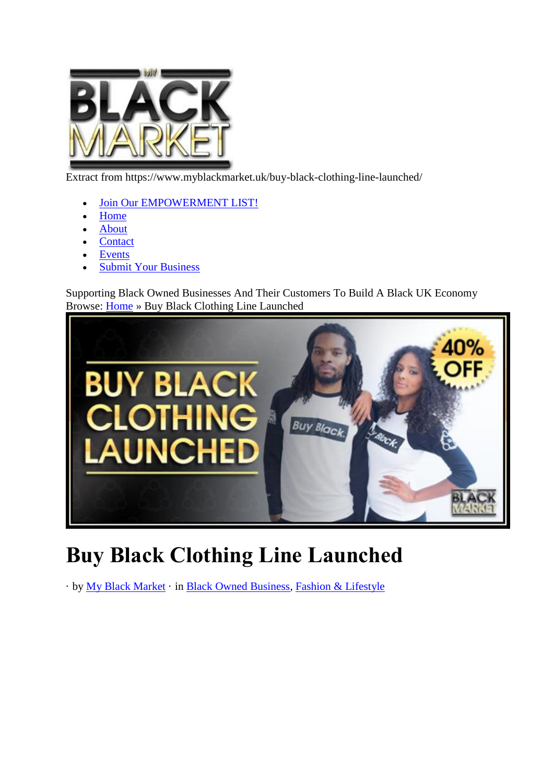

Extract from https://www.myblackmarket.uk/buy-black-clothing-line-launched/

- [Join Our EMPOWERMENT LIST!](https://www.myblackmarket.uk/list/)
- [Home](https://www.myblackmarket.uk/)
- [About](https://www.myblackmarket.uk/about/)
- **[Contact](https://www.myblackmarket.uk/contact/)**
- [Events](https://www.myblackmarket.uk/events/)
- **[Submit Your Business](https://www.myblackmarket.uk/submit/)**

Supporting Black Owned Businesses And Their Customers To Build A Black UK Economy Browse: [Home](https://www.myblackmarket.uk/) » Buy Black Clothing Line Launched



## **Buy Black Clothing Line Launched**

· by [My Black Market](https://www.myblackmarket.uk/author/mrdlister-2/) · in [Black Owned Business,](https://www.myblackmarket.uk/category/black-owned-business/) [Fashion & Lifestyle](https://www.myblackmarket.uk/category/fashion-lifestyle/)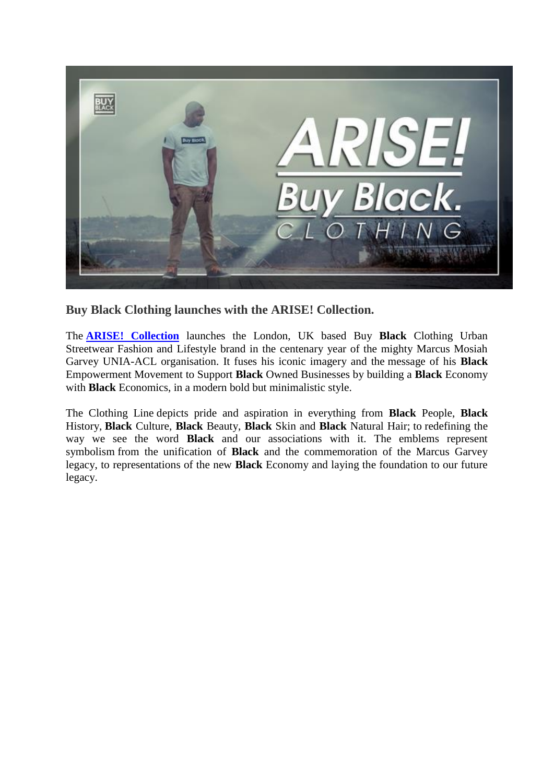

**Buy Black Clothing launches with the ARISE! Collection.**

The **[ARISE! Collection](http://buyblackclothing.uk/collections/arise)** launches the London, UK based Buy **Black** Clothing Urban Streetwear Fashion and Lifestyle brand in the centenary year of the mighty Marcus Mosiah Garvey UNIA-ACL organisation. It fuses his iconic imagery and the message of his **Black** Empowerment Movement to Support **Black** Owned Businesses by building a **Black** Economy with **Black** Economics, in a modern bold but minimalistic style.

The Clothing Line depicts pride and aspiration in everything from **Black** People, **Black** History, **Black** Culture, **Black** Beauty, **Black** Skin and **Black** Natural Hair; to redefining the way we see the word **Black** and our associations with it. The emblems represent symbolism from the unification of **Black** and the commemoration of the Marcus Garvey legacy, to representations of the new **Black** Economy and laying the foundation to our future legacy.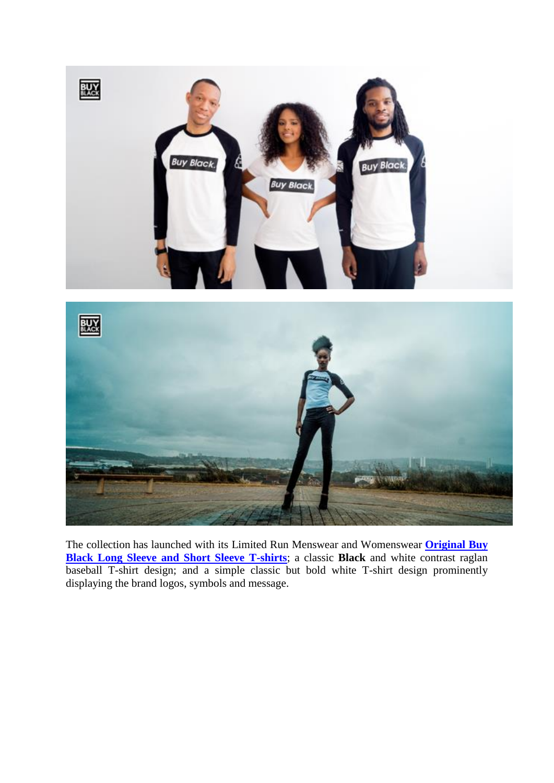

The collection has launched with its Limited Run Menswear and Womenswear **[Original Buy](http://buyblackclothing.uk/collections/arise)  Black Long Sleeve [and Short Sleeve T-shirts](http://buyblackclothing.uk/collections/arise)**; a classic **Black** and white contrast raglan baseball T-shirt design; and a simple classic but bold white T-shirt design prominently displaying the brand logos, symbols and message.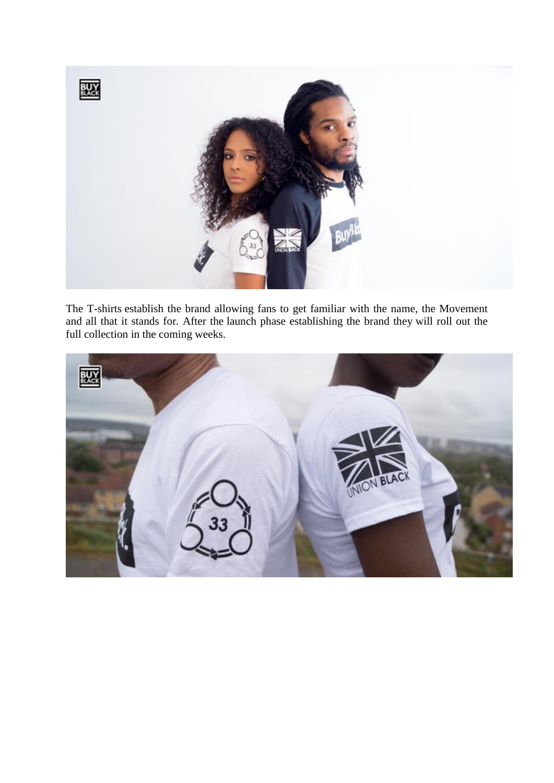![](_page_6_Picture_0.jpeg)

The T-shirts establish the brand allowing fans to get familiar with the name, the Movement and all that it stands for. After the launch phase establishing the brand they will roll out the full collection in the coming weeks.

![](_page_6_Picture_2.jpeg)